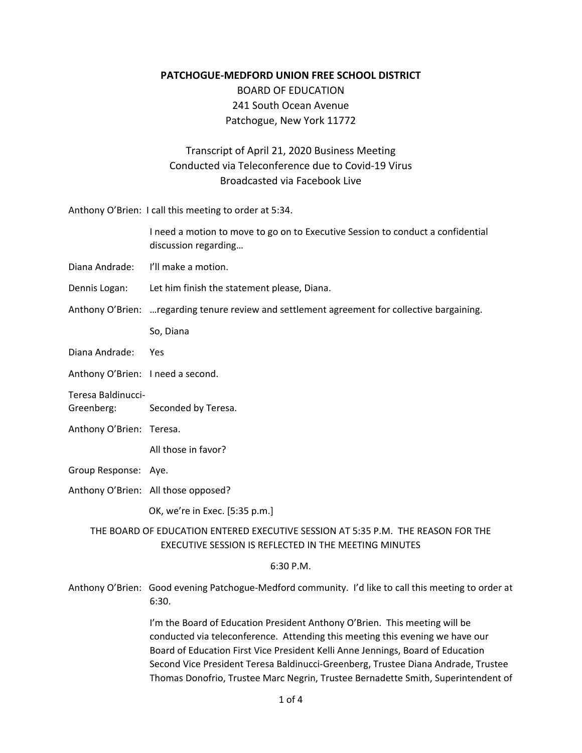**PATCHOGUE‐MEDFORD UNION FREE SCHOOL DISTRICT** 

BOARD OF EDUCATION 241 South Ocean Avenue Patchogue, New York 11772

## Transcript of April 21, 2020 Business Meeting Conducted via Teleconference due to Covid‐19 Virus Broadcasted via Facebook Live

Anthony O'Brien: I call this meeting to order at 5:34.

|               | I need a motion to move to go on to Executive Session to conduct a confidential<br>discussion regarding |
|---------------|---------------------------------------------------------------------------------------------------------|
|               | Diana Andrade: I'll make a motion.                                                                      |
| Dennis Logan: | Let him finish the statement please, Diana.                                                             |
|               |                                                                                                         |

Anthony O'Brien: …regarding tenure review and settlement agreement for collective bargaining.

So, Diana

Diana Andrade: Yes

Anthony O'Brien: I need a second.

Teresa Baldinucci‐

Greenberg: Seconded by Teresa.

Anthony O'Brien: Teresa.

All those in favor?

Group Response: Aye.

Anthony O'Brien: All those opposed?

OK, we're in Exec. [5:35 p.m.]

 THE BOARD OF EDUCATION ENTERED EXECUTIVE SESSION AT 5:35 P.M. THE REASON FOR THE EXECUTIVE SESSION IS REFLECTED IN THE MEETING MINUTES

6:30 P.M.

Anthony O'Brien: Good evening Patchogue‐Medford community. I'd like to call this meeting to order at 6:30.

> I'm the Board of Education President Anthony O'Brien. This meeting will be conducted via teleconference. Attending this meeting this evening we have our Board of Education First Vice President Kelli Anne Jennings, Board of Education Second Vice President Teresa Baldinucci‐Greenberg, Trustee Diana Andrade, Trustee Thomas Donofrio, Trustee Marc Negrin, Trustee Bernadette Smith, Superintendent of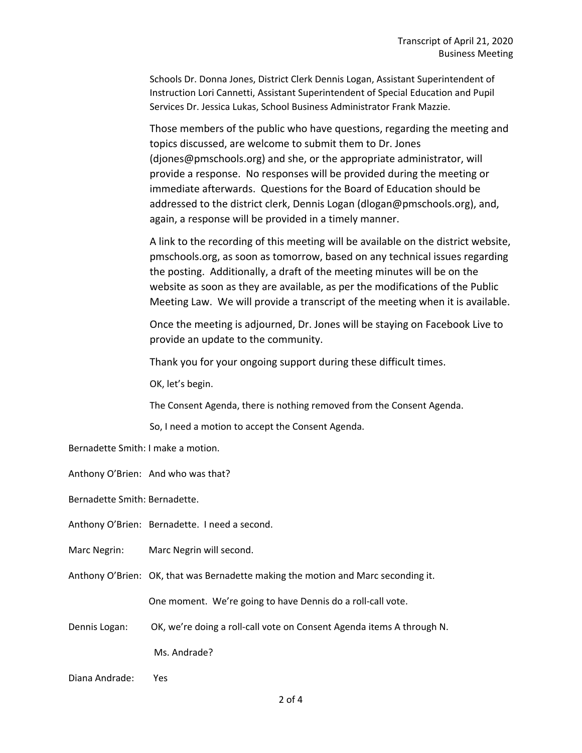Schools Dr. Donna Jones, District Clerk Dennis Logan, Assistant Superintendent of Instruction Lori Cannetti, Assistant Superintendent of Special Education and Pupil Services Dr. Jessica Lukas, School Business Administrator Frank Mazzie.

Those members of the public who have questions, regarding the meeting and topics discussed, are welcome to submit them to Dr. Jones (djones@pmschools.org) and she, or the appropriate administrator, will provide a response. No responses will be provided during the meeting or immediate afterwards. Questions for the Board of Education should be addressed to the district clerk, Dennis Logan (dlogan@pmschools.org), and, again, a response will be provided in a timely manner.

A link to the recording of this meeting will be available on the district website, pmschools.org, as soon as tomorrow, based on any technical issues regarding the posting. Additionally, a draft of the meeting minutes will be on the website as soon as they are available, as per the modifications of the Public Meeting Law. We will provide a transcript of the meeting when it is available.

Once the meeting is adjourned, Dr. Jones will be staying on Facebook Live to provide an update to the community.

Thank you for your ongoing support during these difficult times.

OK, let's begin.

The Consent Agenda, there is nothing removed from the Consent Agenda.

So, I need a motion to accept the Consent Agenda.

Bernadette Smith: I make a motion.

Anthony O'Brien: And who was that?

Bernadette Smith: Bernadette.

- Anthony O'Brien: Bernadette. I need a second.
- Marc Negrin: Marc Negrin will second.
- Anthony O'Brien: OK, that was Bernadette making the motion and Marc seconding it.

One moment. We're going to have Dennis do a roll‐call vote.

Dennis Logan: OK, we're doing a roll-call vote on Consent Agenda items A through N. Ms. Andrade?

Yes Diana Andrade: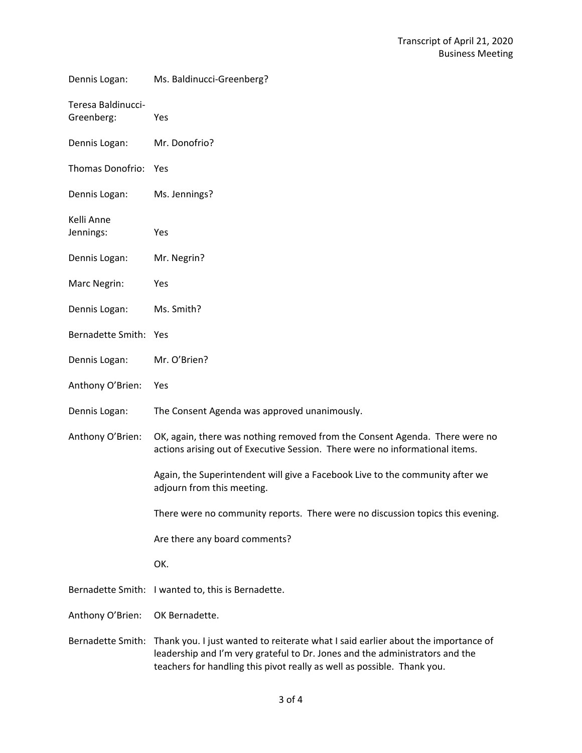| Dennis Logan:                    | Ms. Baldinucci-Greenberg?                                                                                                                                                                                                                    |
|----------------------------------|----------------------------------------------------------------------------------------------------------------------------------------------------------------------------------------------------------------------------------------------|
| Teresa Baldinucci-<br>Greenberg: | Yes                                                                                                                                                                                                                                          |
| Dennis Logan:                    | Mr. Donofrio?                                                                                                                                                                                                                                |
| <b>Thomas Donofrio:</b>          | Yes                                                                                                                                                                                                                                          |
| Dennis Logan:                    | Ms. Jennings?                                                                                                                                                                                                                                |
| Kelli Anne<br>Jennings:          | Yes                                                                                                                                                                                                                                          |
| Dennis Logan:                    | Mr. Negrin?                                                                                                                                                                                                                                  |
| Marc Negrin:                     | Yes                                                                                                                                                                                                                                          |
| Dennis Logan:                    | Ms. Smith?                                                                                                                                                                                                                                   |
| Bernadette Smith: Yes            |                                                                                                                                                                                                                                              |
| Dennis Logan:                    | Mr. O'Brien?                                                                                                                                                                                                                                 |
| Anthony O'Brien:                 | Yes                                                                                                                                                                                                                                          |
| Dennis Logan:                    | The Consent Agenda was approved unanimously.                                                                                                                                                                                                 |
| Anthony O'Brien:                 | OK, again, there was nothing removed from the Consent Agenda. There were no<br>actions arising out of Executive Session. There were no informational items.                                                                                  |
|                                  | Again, the Superintendent will give a Facebook Live to the community after we<br>adjourn from this meeting.                                                                                                                                  |
|                                  | There were no community reports. There were no discussion topics this evening.                                                                                                                                                               |
|                                  | Are there any board comments?                                                                                                                                                                                                                |
|                                  | OK.                                                                                                                                                                                                                                          |
|                                  | Bernadette Smith: I wanted to, this is Bernadette.                                                                                                                                                                                           |
| Anthony O'Brien:                 | OK Bernadette.                                                                                                                                                                                                                               |
| Bernadette Smith:                | Thank you. I just wanted to reiterate what I said earlier about the importance of<br>leadership and I'm very grateful to Dr. Jones and the administrators and the<br>teachers for handling this pivot really as well as possible. Thank you. |